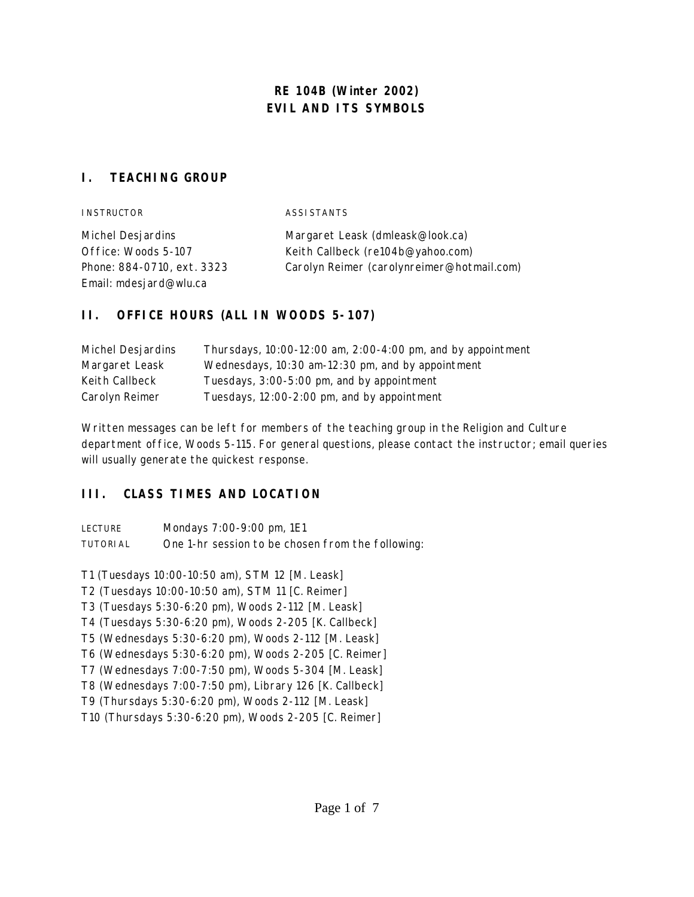# **RE 104B (Winter 2002) EVIL AND ITS SYMBOLS**

## **I. TEACHING GROUP**

| <b>INSTRUCTOR</b>          | ASSI STANTS                                |
|----------------------------|--------------------------------------------|
| Michel Desjardins          | Margaret Leask (dmleask@look.ca)           |
| Office: Woods 5-107        | Keith Callbeck (re104b@yahoo.com)          |
| Phone: 884-0710, ext. 3323 | Carolyn Reimer (carolynreimer@hotmail.com) |
| Email: mdesjard@wlu.ca     |                                            |

# **II. OFFICE HOURS (ALL IN WOODS 5-107)**

| Michel Desjardins | Thursdays, 10:00-12:00 am, 2:00-4:00 pm, and by appointment |
|-------------------|-------------------------------------------------------------|
| Margaret Leask    | Wednesdays, 10:30 am-12:30 pm, and by appointment           |
| Keith Callbeck    | Tuesdays, 3:00-5:00 pm, and by appointment                  |
| Carolyn Reimer    | Tuesdays, 12:00-2:00 pm, and by appointment                 |

Written messages can be left for members of the teaching group in the Religion and Culture department office, Woods 5-115. For general questions, please contact the instructor; email queries will usually generate the quickest response.

# **III. CLASS TIMES AND LOCATION**

| <b>LECTURE</b>  | Mondays 7:00-9:00 pm, 1E1                         |
|-----------------|---------------------------------------------------|
| <b>TUTORIAL</b> | One 1-hr session to be chosen from the following: |

T1 (Tuesdays 10:00-10:50 am), STM 12 [M. Leask]

T2 (Tuesdays 10:00-10:50 am), STM 11 [C. Reimer]

T3 (Tuesdays 5:30-6:20 pm), Woods 2-112 [M. Leask]

T4 (Tuesdays 5:30-6:20 pm), Woods 2-205 [K. Callbeck]

T5 (Wednesdays 5:30-6:20 pm), Woods 2-112 [M. Leask]

T6 (Wednesdays 5:30-6:20 pm), Woods 2-205 [C. Reimer]

T7 (Wednesdays 7:00-7:50 pm), Woods 5-304 [M. Leask]

T8 (Wednesdays 7:00-7:50 pm), Library 126 [K. Callbeck]

T9 (Thursdays 5:30-6:20 pm), Woods 2-112 [M. Leask]

T10 (Thursdays 5:30-6:20 pm), Woods 2-205 [C. Reimer]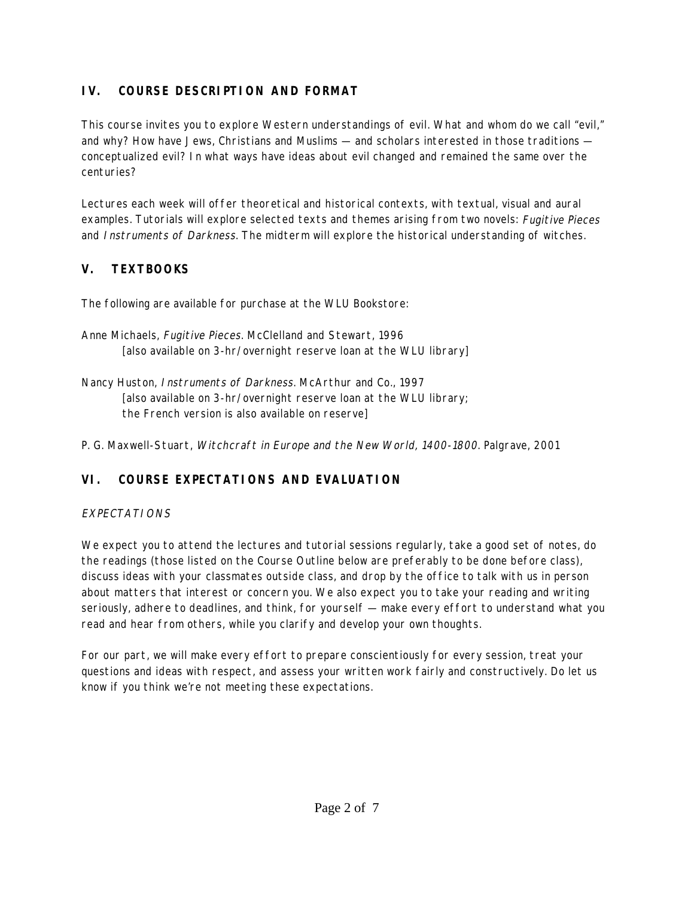# **IV. COURSE DESCRIPTION AND FORMAT**

This course invites you to explore Western understandings of evil. What and whom do we call "evil," and why? How have Jews, Christians and Muslims — and scholars interested in those traditions conceptualized evil? In what ways have ideas about evil changed and remained the same over the centuries?

Lectures each week will offer theoretical and historical contexts, with textual, visual and aural examples. Tutorials will explore selected texts and themes arising from two novels: Fugitive Pieces and Instruments of Darkness. The midterm will explore the historical understanding of witches.

# **V. TEXTBOOKS**

The following are available for purchase at the WLU Bookstore:

- Anne Michaels, Fugitive Pieces. McClelland and Stewart, 1996 [also available on 3-hr/overnight reserve loan at the WLU library]
- Nancy Huston, Instruments of Darkness. McArthur and Co., 1997 [also available on 3-hr/overnight reserve loan at the WLU library; the French version is also available on reserve]

P. G. Maxwell-Stuart, Witchcraft in Europe and the New World, 1400-1800. Palgrave, 2001

# **VI. COURSE EXPECTATIONS AND EVALUATION**

# EXPECTATIONS

We expect you to attend the lectures and tutorial sessions regularly, take a good set of notes, do the readings (those listed on the Course Outline below are preferably to be done before class), discuss ideas with your classmates outside class, and drop by the office to talk with us in person about matters that interest or concern you. We also expect you to take your reading and writing seriously, adhere to deadlines, and think, for yourself — make every effort to understand what you read and hear from others, while you clarify and develop your own thoughts.

For our part, we will make every effort to prepare conscientiously for every session, treat your questions and ideas with respect, and assess your written work fairly and constructively. Do let us know if you think we're not meeting these expectations.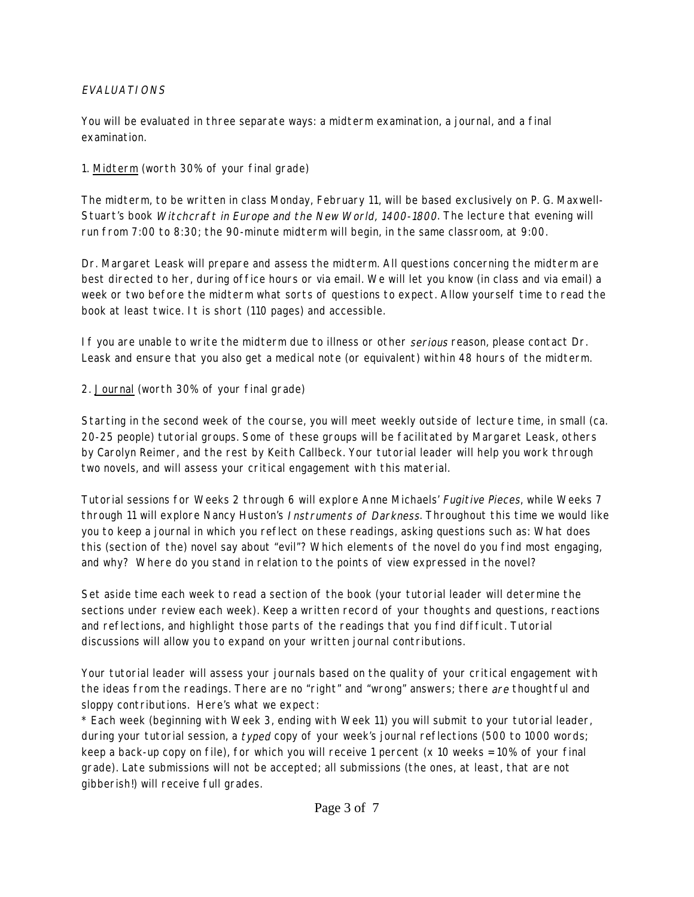## EVALUATIONS

You will be evaluated in three separate ways: a midterm examination, a journal, and a final examination.

1. Midterm (worth 30% of your final grade)

The midterm, to be written in class Monday, February 11, will be based exclusively on P. G. Maxwell-Stuart's book Witchcraft in Europe and the New World, 1400-1800. The lecture that evening will run from 7:00 to 8:30; the 90-minute midterm will begin, in the same classroom, at 9:00.

Dr. Margaret Leask will prepare and assess the midterm. All questions concerning the midterm are best directed to her, during office hours or via email. We will let you know (in class and via email) a week or two before the midterm what sorts of questions to expect. Allow yourself time to read the book at least twice. It is short (110 pages) and accessible.

If you are unable to write the midterm due to illness or other serious reason, please contact Dr. Leask and ensure that you also get a medical note (or equivalent) within 48 hours of the midterm.

2. Journal (worth 30% of your final grade)

Starting in the second week of the course, you will meet weekly outside of lecture time, in small (ca. 20-25 people) tutorial groups. Some of these groups will be facilitated by Margaret Leask, others by Carolyn Reimer, and the rest by Keith Callbeck. Your tutorial leader will help you work through two novels, and will assess your critical engagement with this material.

Tutorial sessions for Weeks 2 through 6 will explore Anne Michaels' Fugitive Pieces, while Weeks 7 through 11 will explore Nancy Huston's *Instruments of Darkness*. Throughout this time we would like you to keep a journal in which you reflect on these readings, asking questions such as: What does this (section of the) novel say about "evil"? Which elements of the novel do you find most engaging, and why? Where do you stand in relation to the points of view expressed in the novel?

Set aside time each week to read a section of the book (your tutorial leader will determine the sections under review each week). Keep a written record of your thoughts and questions, reactions and reflections, and highlight those parts of the readings that you find difficult. Tutorial discussions will allow you to expand on your written journal contributions.

Your tutorial leader will assess your journals based on the quality of your critical engagement with the ideas from the readings. There are no "right" and "wrong" answers; there are thoughtful and sloppy contributions. Here's what we expect:

\* Each week (beginning with Week 3, ending with Week 11) you will submit to your tutorial leader, during your tutorial session, a typed copy of your week's journal reflections (500 to 1000 words; keep a back-up copy on file), for which you will receive 1 percent (x 10 weeks = 10% of your final grade). Late submissions will not be accepted; all submissions (the ones, at least, that are not gibberish!) will receive full grades.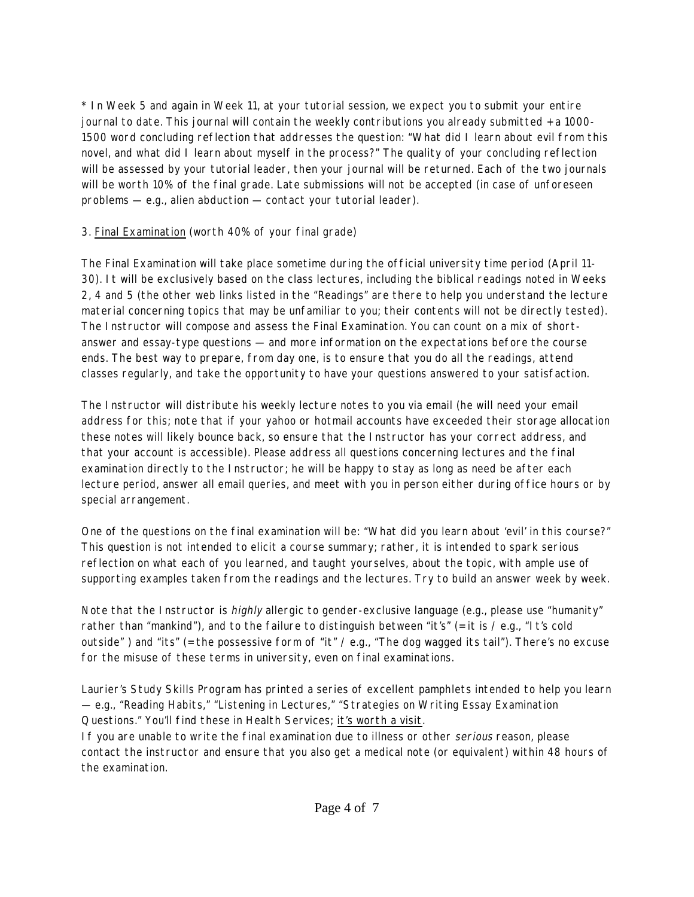\* In Week 5 and again in Week 11, at your tutorial session, we expect you to submit your entire journal to date. This journal will contain the weekly contributions you already submitted + a 1000- 1500 word concluding reflection that addresses the question: "What did I learn about evil from this novel, and what did I learn about myself in the process?" The quality of your concluding reflection will be assessed by your tutorial leader, then your journal will be returned. Each of the two journals will be worth 10% of the final grade. Late submissions will not be accepted (in case of unforeseen problems — e.g., alien abduction — contact your tutorial leader).

## 3. Final Examination (worth 40% of your final grade)

The Final Examination will take place sometime during the official university time period (April 11- 30). It will be exclusively based on the class lectures, including the biblical readings noted in Weeks 2, 4 and 5 (the other web links listed in the "Readings" are there to help you understand the lecture material concerning topics that may be unfamiliar to you; their contents will not be directly tested). The Instructor will compose and assess the Final Examination. You can count on a mix of shortanswer and essay-type questions — and more information on the expectations before the course ends. The best way to prepare, from day one, is to ensure that you do all the readings, attend classes regularly, and take the opportunity to have your questions answered to your satisfaction.

The Instructor will distribute his weekly lecture notes to you via email (he will need your email address for this; note that if your yahoo or hotmail accounts have exceeded their storage allocation these notes will likely bounce back, so ensure that the Instructor has your correct address, and that your account is accessible). Please address all questions concerning lectures and the final examination directly to the Instructor; he will be happy to stay as long as need be after each lecture period, answer all email queries, and meet with you in person either during office hours or by special arrangement.

One of the questions on the final examination will be: "What did you learn about 'evil' in this course?" This question is not intended to elicit a course summary; rather, it is intended to spark serious reflection on what each of you learned, and taught yourselves, about the topic, with ample use of supporting examples taken from the readings and the lectures. Try to build an answer week by week.

Note that the Instructor is highly allergic to gender-exclusive language (e.g., please use "humanity" rather than "mankind"), and to the failure to distinguish between "it's" (= it is  $\ell$  e.g., "It's cold outside" ) and "its" (= the possessive form of "it" / e.g., "The dog wagged its tail"). There's no excuse for the misuse of these terms in university, even on final examinations.

Laurier's Study Skills Program has printed a series of excellent pamphlets intended to help you learn — e.g., "Reading Habits," "Listening in Lectures," "Strategies on Writing Essay Examination Questions." You'll find these in Health Services; it's worth a visit.

If you are unable to write the final examination due to illness or other serious reason, please contact the instructor and ensure that you also get a medical note (or equivalent) within 48 hours of the examination.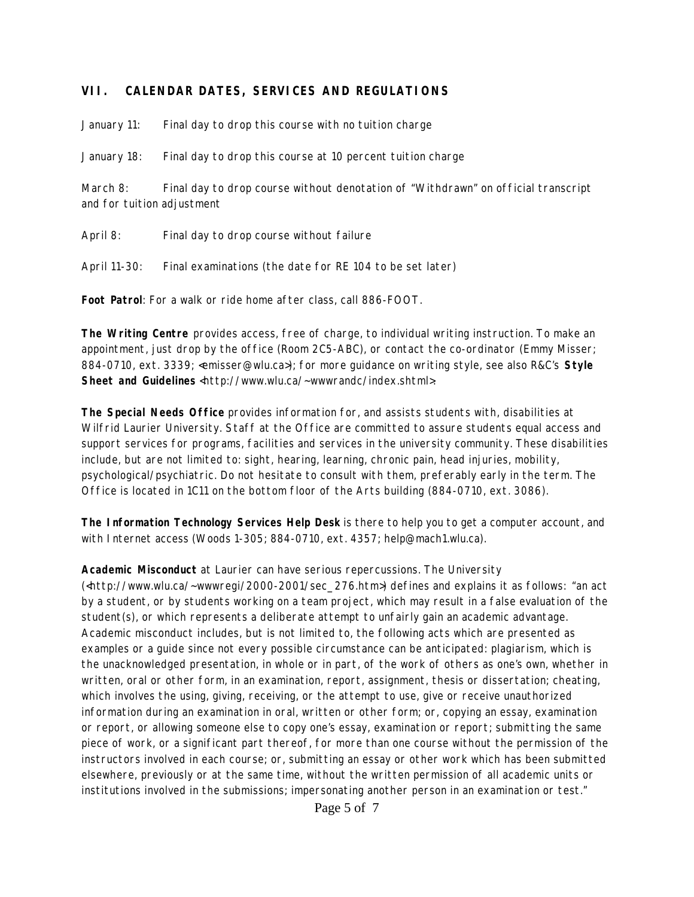## **VII. CALENDAR DATES, SERVICES AND REGULATIONS**

January 11: Final day to drop this course with no tuition charge

January 18: Final day to drop this course at 10 percent tuition charge

March 8: Final day to drop course without denotation of "Withdrawn" on official transcript and for tuition adjustment

April 8: Final day to drop course without failure

April 11-30: Final examinations (the date for RE 104 to be set later)

**Foot Patrol**: For a walk or ride home after class, call 886-FOOT.

**The Writing Centre** provides access, free of charge, to individual writing instruction. To make an appointment, just drop by the office (Room 2C5-ABC), or contact the co-ordinator (Emmy Misser; 884-0710, ext. 3339; <emisser@wlu.ca>); for more guidance on writing style, see also R&C's **Style Sheet and Guidelines** <http://www.wlu.ca/~wwwrandc/index.shtml>.

**The Special Needs Office** provides information for, and assists students with, disabilities at Wilfrid Laurier University. Staff at the Office are committed to assure students equal access and support services for programs, facilities and services in the university community. These disabilities include, but are not limited to: sight, hearing, learning, chronic pain, head injuries, mobility, psychological/psychiatric. Do not hesitate to consult with them, preferably early in the term. The Office is located in 1C11 on the bottom floor of the Arts building (884-0710, ext. 3086).

**The Information Technology Services Help Desk** is there to help you to get a computer account, and with Internet access (Woods 1-305; 884-0710, ext. 4357; help@mach1.wlu.ca).

**Academic Misconduct** at Laurier can have serious repercussions. The University

(<http://www.wlu.ca/~wwwregi/2000-2001/sec\_276.htm>) defines and explains it as follows: "an act by a student, or by students working on a team project, which may result in a false evaluation of the student(s), or which represents a deliberate attempt to unfairly gain an academic advantage. Academic misconduct includes, but is not limited to, the following acts which are presented as examples or a guide since not every possible circumstance can be anticipated: plagiarism, which is the unacknowledged presentation, in whole or in part, of the work of others as one's own, whether in written, oral or other form, in an examination, report, assignment, thesis or dissertation; cheating, which involves the using, giving, receiving, or the attempt to use, give or receive unauthorized information during an examination in oral, written or other form; or, copying an essay, examination or report, or allowing someone else to copy one's essay, examination or report; submitting the same piece of work, or a significant part thereof, for more than one course without the permission of the instructors involved in each course; or, submitting an essay or other work which has been submitted elsewhere, previously or at the same time, without the written permission of all academic units or institutions involved in the submissions; impersonating another person in an examination or test."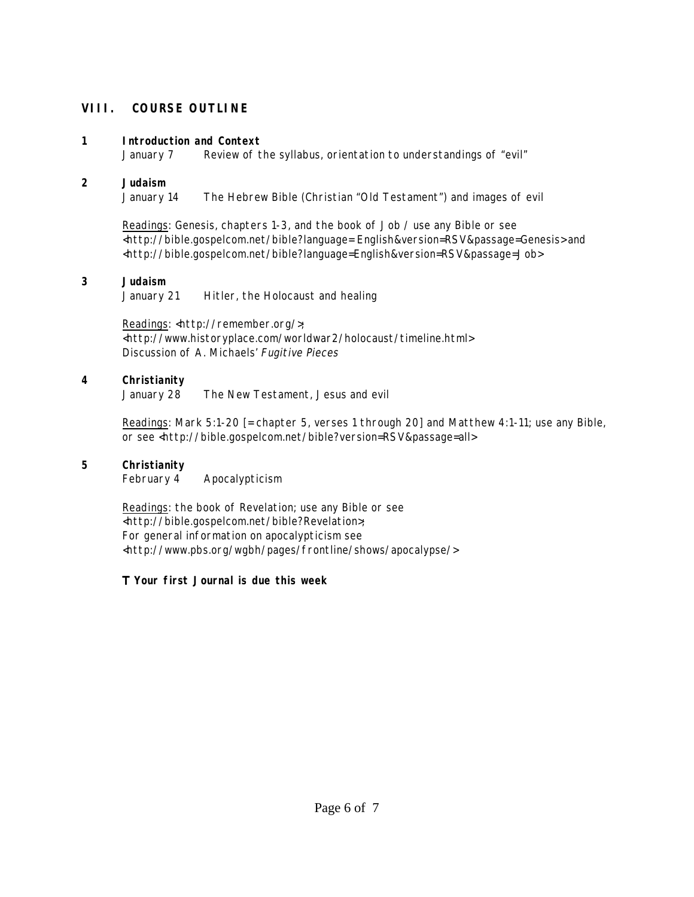## **VIII. COURSE OUTLINE**

### **1 Introduction and Context**

January 7 Review of the syllabus, orientation to understandings of "evil"

## **2 Judaism**

January 14 The Hebrew Bible (Christian "Old Testament") and images of evil

Readings: Genesis, chapters 1-3, and the book of Job / use any Bible or see <http://bible.gospelcom.net/bible?language= English&version=RSV&passage=Genesis> and <http://bible.gospelcom.net/bible?language=English&version=RSV&passage=Job>

## **3 Judaism**

January 21 Hitler, the Holocaust and healing

Readings: <http://remember.org/>; <http://www.historyplace.com/worldwar2/holocaust/timeline.html> Discussion of A. Michaels' Fugitive Pieces

### **4 Christianity**

January 28 The New Testament, Jesus and evil

Readings: Mark 5:1-20 [= chapter 5, verses 1 through 20] and Matthew 4:1-11; use any Bible, or see <http://bible.gospelcom.net/bible?version=RSV&passage=all>

## **5 Christianity**

February 4 Apocalypticism

Readings: the book of Revelation; use any Bible or see <http://bible.gospelcom.net/bible?Revelation>; For general information on apocalypticism see <http://www.pbs.org/wgbh/pages/frontline/shows/apocalypse/>

## Τ **Your first Journal is due this week**